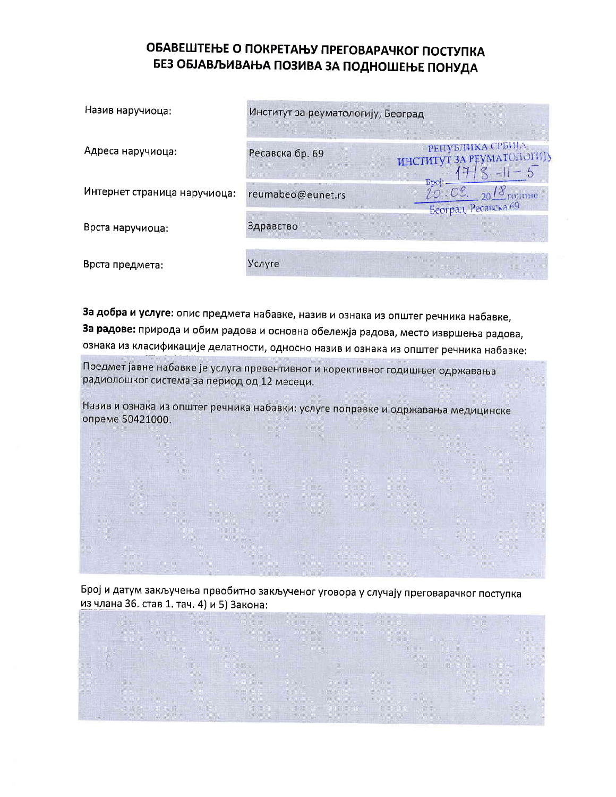## ОБАВЕШТЕЊЕ О ПОКРЕТАЊУ ПРЕГОВАРАЧКОГ ПОСТУПКА БЕЗ ОБЈАВЉИВАЊА ПОЗИВА ЗА ПОДНОШЕЊЕ ПОНУДА

| Назив наручиоца:             | Институт за реуматологију, Београд |                                                                           |
|------------------------------|------------------------------------|---------------------------------------------------------------------------|
| Адреса наручиоца:            | Ресавска бр. 69                    | РЕПУБЛИКА СРБИЈА<br>ИНСТИТУТ ЗА РЕУМАТОЛОГИЈУ                             |
| Интернет страница наручиоца: | reumabeo@eunet.rs                  | <b>Epoj:</b><br>$20.09.20$ $\frac{18}{20}$ године<br>Београд, Ресавска 69 |
| Врста наручиоца:             | Здравство                          |                                                                           |
| Врста предмета:              | Услуге                             |                                                                           |

За добра и услуге: опис предмета набавке, назив и ознака из општег речника набавке, За радове: природа и обим радова и основна обележја радова, место извршења радова, ознака из класификације делатности, односно назив и ознака из општег речника набавке:

Предмет јавне набавке је услуга превентивног и корективног годишњег одржавања радиолошког система за период од 12 месеци.

Назив и ознака из општег речника набавки: услуге поправке и одржавања медицинске опреме 50421000.

Број и датум закључења првобитно закљученог уговора у случају преговарачког поступка из члана 36. став 1. тач. 4) и 5) Закона: